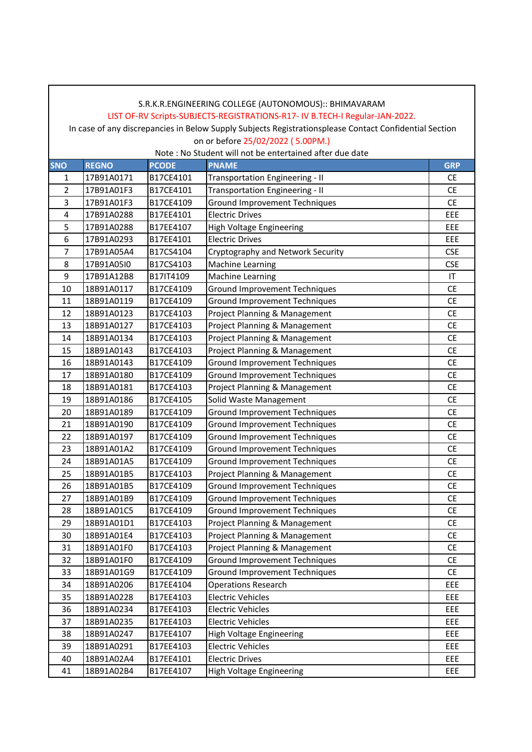# **SNO REGNO PCODE PNAME GRP** 17B91A0171 B17CE4101 Transportation Engineering - II CE 17B91A01F3 B17CE4101 Transportation Engineering - II CE 17B91A01F3 B17CE4109 Ground Improvement Techniques CE 4 | 17B91A0288 | B17EE4101 | Electric Drives | EEE | EEE 17B91A0288 B17EE4107 High Voltage Engineering EEE 6 | 17B91A0293 | B17EE4101 | Electric Drives | EEE 17B91A05A4 B17CS4104 Cryptography and Network Security CSE 8 | 17B91A05I0 | B17CS4103 | Machine Learning | CSE 17B91A12B8 B17IT4109 Machine Learning IT 18B91A0117 B17CE4109 Ground Improvement Techniques CE 18B91A0119 B17CE4109 Ground Improvement Techniques CE 18B91A0123 B17CE4103 Project Planning & Management CE 18B91A0127 B17CE4103 Project Planning & Management CE 18B91A0134 B17CE4103 Project Planning & Management CE 18B91A0143 B17CE4103 Project Planning & Management CE 18B91A0143 B17CE4109 Ground Improvement Techniques CE 18B91A0180 B17CE4109 Ground Improvement Techniques CE 18B91A0181 B17CE4103 Project Planning & Management CE 18B91A0186 B17CE4105 Solid Waste Management CE 18B91A0189 B17CE4109 Ground Improvement Techniques CE 21 | 18B91A0190 | B17CE4109 | Ground Improvement Techniques | CE 22 18B91A0197 B17CE4109 Ground Improvement Techniques CE 18B91A01A2 B17CE4109 Ground Improvement Techniques CE 24 18B91A01A5 B17CE4109 Ground Improvement Techniques CE 18B91A01B5 B17CE4103 Project Planning & Management CE 18B91A01B5 B17CE4109 Ground Improvement Techniques CE 27 | 18B91A01B9 | B17CE4109 | Ground Improvement Techniques | CE 28 | 18B91A01C5 | B17CE4109 | Ground Improvement Techniques | CE 18B91A01D1 B17CE4103 Project Planning & Management CE 18B91A01E4 B17CE4103 Project Planning & Management CE 18B91A01F0 B17CE4103 Project Planning & Management CE 18B91A01F0 B17CE4109 Ground Improvement Techniques CE 18B91A01G9 B17CE4109 Ground Improvement Techniques CE 18B91A0206 B17EE4104 Operations Research EEE 18B91A0228 B17EE4103 Electric Vehicles EEE 18B91A0234 B17EE4103 Electric Vehicles EEE 18B91A0235 B17EE4103 Electric Vehicles EEE 18B91A0247 B17EE4107 High Voltage Engineering EEE 18B91A0291 B17EE4103 Electric Vehicles EEE 18B91A02A4 B17EE4101 Electric Drives EEE 18B91A02B4 B17EE4107 High Voltage Engineering EEE S.R.K.R.ENGINEERING COLLEGE (AUTONOMOUS):: BHIMAVARAM LIST OF-RV Scripts-SUBJECTS-REGISTRATIONS-R17- IV B.TECH-I Regular-JAN-2022. In case of any discrepancies in Below Supply Subjects Registrationsplease Contact Confidential Section on or before 25/02/2022 ( 5.00PM.) Note : No Student will not be entertained after due date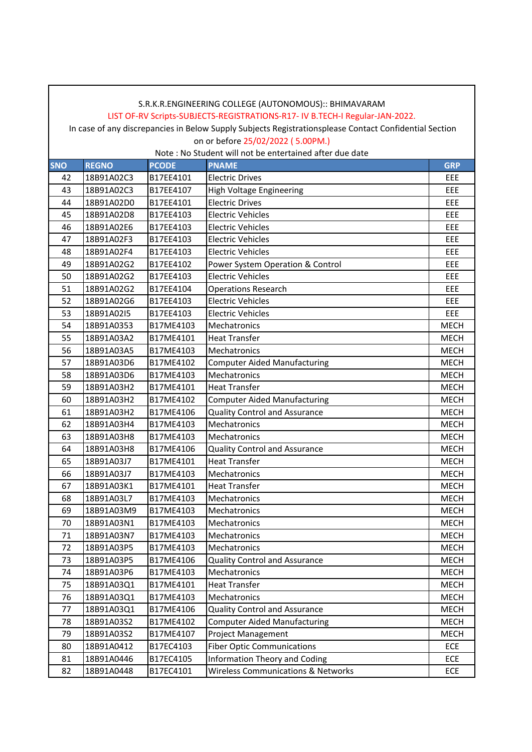#### LIST OF-RV Scripts-SUBJECTS-REGISTRATIONS-R17- IV B.TECH-I Regular-JAN-2022.

 In case of any discrepancies in Below Supply Subjects Registrationsplease Contact Confidential Section on or before 25/02/2022 ( 5.00PM.)

| <b>SNO</b> | <b>REGNO</b> | <b>PCODE</b> | <b>PNAME</b>                                  | <b>GRP</b>  |
|------------|--------------|--------------|-----------------------------------------------|-------------|
| 42         | 18B91A02C3   | B17EE4101    | <b>Electric Drives</b>                        | EEE         |
| 43         | 18B91A02C3   | B17EE4107    | <b>High Voltage Engineering</b>               | EEE         |
| 44         | 18B91A02D0   | B17EE4101    | <b>Electric Drives</b>                        | EEE         |
| 45         | 18B91A02D8   | B17EE4103    | <b>Electric Vehicles</b>                      | EEE         |
| 46         | 18B91A02E6   | B17EE4103    | <b>Electric Vehicles</b>                      | EEE         |
| 47         | 18B91A02F3   | B17EE4103    | <b>Electric Vehicles</b>                      | EEE         |
| 48         | 18B91A02F4   | B17EE4103    | <b>Electric Vehicles</b>                      | EEE         |
| 49         | 18B91A02G2   | B17EE4102    | Power System Operation & Control              | EEE         |
| 50         | 18B91A02G2   | B17EE4103    | <b>Electric Vehicles</b>                      | EEE         |
| 51         | 18B91A02G2   | B17EE4104    | <b>Operations Research</b>                    | EEE         |
| 52         | 18B91A02G6   | B17EE4103    | <b>Electric Vehicles</b>                      | EEE         |
| 53         | 18B91A02I5   | B17EE4103    | <b>Electric Vehicles</b>                      | EEE         |
| 54         | 18B91A0353   | B17ME4103    | Mechatronics                                  | <b>MECH</b> |
| 55         | 18B91A03A2   | B17ME4101    | <b>Heat Transfer</b>                          | <b>MECH</b> |
| 56         | 18B91A03A5   | B17ME4103    | Mechatronics                                  | <b>MECH</b> |
| 57         | 18B91A03D6   | B17ME4102    | <b>Computer Aided Manufacturing</b>           | <b>MECH</b> |
| 58         | 18B91A03D6   | B17ME4103    | Mechatronics                                  | <b>MECH</b> |
| 59         | 18B91A03H2   | B17ME4101    | <b>Heat Transfer</b>                          | <b>MECH</b> |
| 60         | 18B91A03H2   | B17ME4102    | <b>Computer Aided Manufacturing</b>           | <b>MECH</b> |
| 61         | 18B91A03H2   | B17ME4106    | <b>Quality Control and Assurance</b>          | <b>MECH</b> |
| 62         | 18B91A03H4   | B17ME4103    | Mechatronics                                  | <b>MECH</b> |
| 63         | 18B91A03H8   | B17ME4103    | Mechatronics                                  | <b>MECH</b> |
| 64         | 18B91A03H8   | B17ME4106    | <b>Quality Control and Assurance</b>          | <b>MECH</b> |
| 65         | 18B91A03J7   | B17ME4101    | <b>Heat Transfer</b>                          | <b>MECH</b> |
| 66         | 18B91A03J7   | B17ME4103    | Mechatronics                                  | <b>MECH</b> |
| 67         | 18B91A03K1   | B17ME4101    | <b>Heat Transfer</b>                          | <b>MECH</b> |
| 68         | 18B91A03L7   | B17ME4103    | Mechatronics                                  | <b>MECH</b> |
| 69         | 18B91A03M9   | B17ME4103    | Mechatronics                                  | <b>MECH</b> |
| 70         | 18B91A03N1   | B17ME4103    | Mechatronics                                  | <b>MECH</b> |
| 71         | 18B91A03N7   | B17ME4103    | Mechatronics                                  | <b>MECH</b> |
| 72         | 18B91A03P5   | B17ME4103    | Mechatronics                                  | MECH        |
| 73         | 18B91A03P5   | B17ME4106    | Quality Control and Assurance                 | MECH        |
| 74         | 18B91A03P6   | B17ME4103    | Mechatronics                                  | <b>MECH</b> |
| 75         | 18B91A03Q1   | B17ME4101    | <b>Heat Transfer</b>                          | <b>MECH</b> |
| 76         | 18B91A03Q1   | B17ME4103    | Mechatronics                                  | <b>MECH</b> |
| 77         | 18B91A03Q1   | B17ME4106    | <b>Quality Control and Assurance</b>          | <b>MECH</b> |
| 78         | 18B91A03S2   | B17ME4102    | <b>Computer Aided Manufacturing</b>           | <b>MECH</b> |
| 79         | 18B91A03S2   | B17ME4107    | <b>Project Management</b>                     | <b>MECH</b> |
| 80         | 18B91A0412   | B17EC4103    | <b>Fiber Optic Communications</b>             | ECE         |
| 81         | 18B91A0446   | B17EC4105    | Information Theory and Coding                 | ECE         |
| 82         | 18B91A0448   | B17EC4101    | <b>Wireless Communications &amp; Networks</b> | ECE         |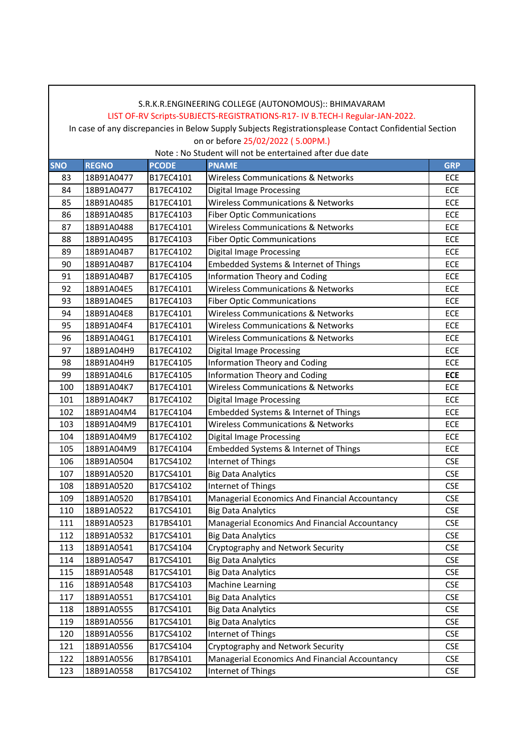## LIST OF-RV Scripts-SUBJECTS-REGISTRATIONS-R17- IV B.TECH-I Regular-JAN-2022.

In case of any discrepancies in Below Supply Subjects Registrationsplease Contact Confidential Section

on or before 25/02/2022 ( 5.00PM.) Note : No Student will not be entertained after due date

|            |              |              | NOLE : NO SLUGENT WIII NOL DE ENTERTAINEG AFTER QUE GALE |            |
|------------|--------------|--------------|----------------------------------------------------------|------------|
| <b>SNO</b> | <b>REGNO</b> | <b>PCODE</b> | <b>PNAME</b>                                             | <b>GRP</b> |
| 83         | 18B91A0477   | B17EC4101    | <b>Wireless Communications &amp; Networks</b>            | ECE        |
| 84         | 18B91A0477   | B17EC4102    | <b>Digital Image Processing</b>                          | ECE        |
| 85         | 18B91A0485   | B17EC4101    | <b>Wireless Communications &amp; Networks</b>            | ECE        |
| 86         | 18B91A0485   | B17EC4103    | <b>Fiber Optic Communications</b>                        | ECE        |
| 87         | 18B91A0488   | B17EC4101    | <b>Wireless Communications &amp; Networks</b>            | ECE        |
| 88         | 18B91A0495   | B17EC4103    | <b>Fiber Optic Communications</b>                        | ECE        |
| 89         | 18B91A04B7   | B17EC4102    | <b>Digital Image Processing</b>                          | ECE        |
| 90         | 18B91A04B7   | B17EC4104    | Embedded Systems & Internet of Things                    | ECE        |
| 91         | 18B91A04B7   | B17EC4105    | <b>Information Theory and Coding</b>                     | ECE        |
| 92         | 18B91A04E5   | B17EC4101    | <b>Wireless Communications &amp; Networks</b>            | ECE        |
| 93         | 18B91A04E5   | B17EC4103    | <b>Fiber Optic Communications</b>                        | ECE        |
| 94         | 18B91A04E8   | B17EC4101    | <b>Wireless Communications &amp; Networks</b>            | ECE        |
| 95         | 18B91A04F4   | B17EC4101    | <b>Wireless Communications &amp; Networks</b>            | ECE        |
| 96         | 18B91A04G1   | B17EC4101    | <b>Wireless Communications &amp; Networks</b>            | ECE        |
| 97         | 18B91A04H9   | B17EC4102    | <b>Digital Image Processing</b>                          | <b>ECE</b> |
| 98         | 18B91A04H9   | B17EC4105    | <b>Information Theory and Coding</b>                     | ECE        |
| 99         | 18B91A04L6   | B17EC4105    | <b>Information Theory and Coding</b>                     | <b>ECE</b> |
| 100        | 18B91A04K7   | B17EC4101    | <b>Wireless Communications &amp; Networks</b>            | ECE        |
| 101        | 18B91A04K7   | B17EC4102    | <b>Digital Image Processing</b>                          | ECE        |
| 102        | 18B91A04M4   | B17EC4104    | Embedded Systems & Internet of Things                    | ECE        |
| 103        | 18B91A04M9   | B17EC4101    | <b>Wireless Communications &amp; Networks</b>            | ECE        |
| 104        | 18B91A04M9   | B17EC4102    | <b>Digital Image Processing</b>                          | ECE        |
| 105        | 18B91A04M9   | B17EC4104    | Embedded Systems & Internet of Things                    | ECE        |
| 106        | 18B91A0504   | B17CS4102    | Internet of Things                                       | <b>CSE</b> |
| 107        | 18B91A0520   | B17CS4101    | <b>Big Data Analytics</b>                                | <b>CSE</b> |
| 108        | 18B91A0520   | B17CS4102    | Internet of Things                                       | <b>CSE</b> |
| 109        | 18B91A0520   | B17BS4101    | Managerial Economics And Financial Accountancy           | <b>CSE</b> |
| 110        | 18B91A0522   | B17CS4101    | <b>Big Data Analytics</b>                                | <b>CSE</b> |
| 111        | 18B91A0523   | B17BS4101    | Managerial Economics And Financial Accountancy           | <b>CSE</b> |
| 112        | 18B91A0532   | B17CS4101    | <b>Big Data Analytics</b>                                | <b>CSE</b> |
| 113        | 18B91A0541   | B17CS4104    | Cryptography and Network Security                        | <b>CSE</b> |
| 114        | 18B91A0547   | B17CS4101    | <b>Big Data Analytics</b>                                | <b>CSE</b> |
| 115        | 18B91A0548   | B17CS4101    | <b>Big Data Analytics</b>                                | <b>CSE</b> |
| 116        | 18B91A0548   | B17CS4103    | <b>Machine Learning</b>                                  | <b>CSE</b> |
| 117        | 18B91A0551   | B17CS4101    | <b>Big Data Analytics</b>                                | <b>CSE</b> |
| 118        | 18B91A0555   | B17CS4101    | <b>Big Data Analytics</b>                                | <b>CSE</b> |
| 119        | 18B91A0556   | B17CS4101    | <b>Big Data Analytics</b>                                | <b>CSE</b> |
| 120        | 18B91A0556   | B17CS4102    | Internet of Things                                       | <b>CSE</b> |
| 121        | 18B91A0556   | B17CS4104    | Cryptography and Network Security                        | <b>CSE</b> |
| 122        | 18B91A0556   | B17BS4101    | Managerial Economics And Financial Accountancy           | <b>CSE</b> |
| 123        | 18B91A0558   | B17CS4102    | Internet of Things                                       | <b>CSE</b> |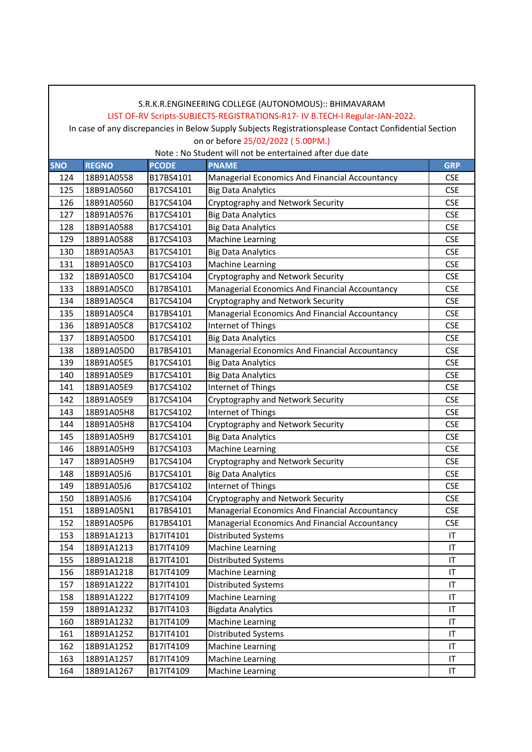#### LIST OF-RV Scripts-SUBJECTS-REGISTRATIONS-R17- IV B.TECH-I Regular-JAN-2022.

 In case of any discrepancies in Below Supply Subjects Registrationsplease Contact Confidential Section on or before 25/02/2022 ( 5.00PM.)

| <b>SNO</b> | <b>REGNO</b> | <b>PCODE</b> | <b>PNAME</b>                                   | <b>GRP</b> |
|------------|--------------|--------------|------------------------------------------------|------------|
| 124        | 18B91A0558   | B17BS4101    | Managerial Economics And Financial Accountancy | <b>CSE</b> |
| 125        | 18B91A0560   | B17CS4101    | <b>Big Data Analytics</b>                      | <b>CSE</b> |
| 126        | 18B91A0560   | B17CS4104    | Cryptography and Network Security              | <b>CSE</b> |
| 127        | 18B91A0576   | B17CS4101    | <b>Big Data Analytics</b>                      | <b>CSE</b> |
| 128        | 18B91A0588   | B17CS4101    | <b>Big Data Analytics</b>                      | <b>CSE</b> |
| 129        | 18B91A0588   | B17CS4103    | <b>Machine Learning</b>                        | <b>CSE</b> |
| 130        | 18B91A05A3   | B17CS4101    | <b>Big Data Analytics</b>                      | <b>CSE</b> |
| 131        | 18B91A05C0   | B17CS4103    | <b>Machine Learning</b>                        | <b>CSE</b> |
| 132        | 18B91A05C0   | B17CS4104    | Cryptography and Network Security              | <b>CSE</b> |
| 133        | 18B91A05C0   | B17BS4101    | Managerial Economics And Financial Accountancy | <b>CSE</b> |
| 134        | 18B91A05C4   | B17CS4104    | Cryptography and Network Security              | <b>CSE</b> |
| 135        | 18B91A05C4   | B17BS4101    | Managerial Economics And Financial Accountancy | <b>CSE</b> |
| 136        | 18B91A05C8   | B17CS4102    | Internet of Things                             | <b>CSE</b> |
| 137        | 18B91A05D0   | B17CS4101    | <b>Big Data Analytics</b>                      | <b>CSE</b> |
| 138        | 18B91A05D0   | B17BS4101    | Managerial Economics And Financial Accountancy | <b>CSE</b> |
| 139        | 18B91A05E5   | B17CS4101    | <b>Big Data Analytics</b>                      | <b>CSE</b> |
| 140        | 18B91A05E9   | B17CS4101    | <b>Big Data Analytics</b>                      | <b>CSE</b> |
| 141        | 18B91A05E9   | B17CS4102    | Internet of Things                             | <b>CSE</b> |
| 142        | 18B91A05E9   | B17CS4104    | Cryptography and Network Security              | <b>CSE</b> |
| 143        | 18B91A05H8   | B17CS4102    | Internet of Things                             | <b>CSE</b> |
| 144        | 18B91A05H8   | B17CS4104    | Cryptography and Network Security              | <b>CSE</b> |
| 145        | 18B91A05H9   | B17CS4101    | <b>Big Data Analytics</b>                      | <b>CSE</b> |
| 146        | 18B91A05H9   | B17CS4103    | <b>Machine Learning</b>                        | <b>CSE</b> |
| 147        | 18B91A05H9   | B17CS4104    | Cryptography and Network Security              | <b>CSE</b> |
| 148        | 18B91A05J6   | B17CS4101    | <b>Big Data Analytics</b>                      | <b>CSE</b> |
| 149        | 18B91A05J6   | B17CS4102    | Internet of Things                             | <b>CSE</b> |
| 150        | 18B91A05J6   | B17CS4104    | Cryptography and Network Security              | <b>CSE</b> |
| 151        | 18B91A05N1   | B17BS4101    | Managerial Economics And Financial Accountancy | <b>CSE</b> |
| 152        | 18B91A05P6   | B17BS4101    | Managerial Economics And Financial Accountancy | <b>CSE</b> |
| 153        | 18B91A1213   | B17IT4101    | <b>Distributed Systems</b>                     | $\sf IT$   |
| 154        | 18B91A1213   | B17IT4109    | <b>Machine Learning</b>                        | IT         |
| 155        | 18B91A1218   | B17IT4101    | Distributed Systems                            | IT         |
| 156        | 18B91A1218   | B17IT4109    | Machine Learning                               | IT         |
| 157        | 18B91A1222   | B17IT4101    | Distributed Systems                            | IT         |
| 158        | 18B91A1222   | B17IT4109    | <b>Machine Learning</b>                        | IT         |
| 159        | 18B91A1232   | B17IT4103    | <b>Bigdata Analytics</b>                       | IT         |
| 160        | 18B91A1232   | B17IT4109    | Machine Learning                               | IT         |
| 161        | 18B91A1252   | B17IT4101    | Distributed Systems                            | IT         |
| 162        | 18B91A1252   | B17IT4109    | Machine Learning                               | IT         |
| 163        | 18B91A1257   | B17IT4109    | <b>Machine Learning</b>                        | IT         |
| 164        | 18B91A1267   | B17IT4109    | Machine Learning                               | IT         |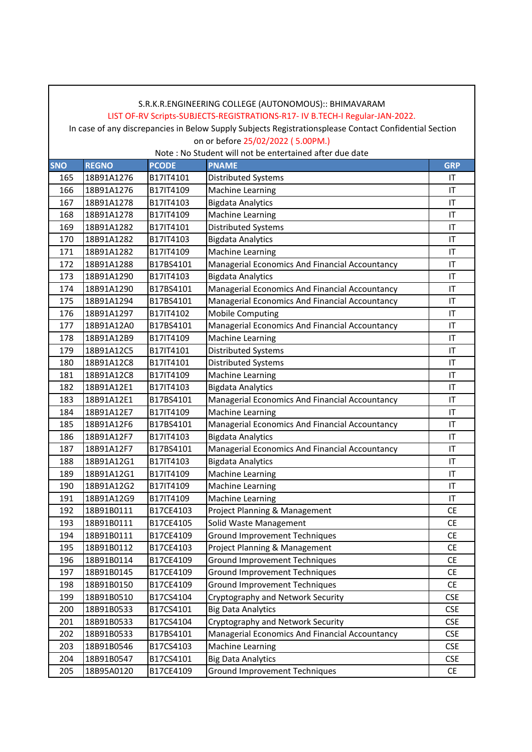## LIST OF-RV Scripts-SUBJECTS-REGISTRATIONS-R17- IV B.TECH-I Regular-JAN-2022.

 In case of any discrepancies in Below Supply Subjects Registrationsplease Contact Confidential Section on or before 25/02/2022 ( 5.00PM.)

| <b>SNO</b> | <b>REGNO</b> | <b>PCODE</b> | <b>PNAME</b>                                   | <b>GRP</b> |
|------------|--------------|--------------|------------------------------------------------|------------|
| 165        | 18B91A1276   | B17IT4101    | <b>Distributed Systems</b>                     | IT         |
| 166        | 18B91A1276   | B17IT4109    | <b>Machine Learning</b>                        | IT         |
| 167        | 18B91A1278   | B17IT4103    | <b>Bigdata Analytics</b>                       | IT         |
| 168        | 18B91A1278   | B17IT4109    | <b>Machine Learning</b>                        | IT         |
| 169        | 18B91A1282   | B17IT4101    | <b>Distributed Systems</b>                     | IT         |
| 170        | 18B91A1282   | B17IT4103    | <b>Bigdata Analytics</b>                       | IT         |
| 171        | 18B91A1282   | B17IT4109    | <b>Machine Learning</b>                        | IT         |
| 172        | 18B91A1288   | B17BS4101    | Managerial Economics And Financial Accountancy | IT         |
| 173        | 18B91A1290   | B17IT4103    | <b>Bigdata Analytics</b>                       | IT         |
| 174        | 18B91A1290   | B17BS4101    | Managerial Economics And Financial Accountancy | IT         |
| 175        | 18B91A1294   | B17BS4101    | Managerial Economics And Financial Accountancy | IT         |
| 176        | 18B91A1297   | B17IT4102    | <b>Mobile Computing</b>                        | IT         |
| 177        | 18B91A12A0   | B17BS4101    | Managerial Economics And Financial Accountancy | IT         |
| 178        | 18B91A12B9   | B17IT4109    | <b>Machine Learning</b>                        | IT         |
| 179        | 18B91A12C5   | B17IT4101    | Distributed Systems                            | IT         |
| 180        | 18B91A12C8   | B17IT4101    | <b>Distributed Systems</b>                     | IT         |
| 181        | 18B91A12C8   | B17IT4109    | <b>Machine Learning</b>                        | IT         |
| 182        | 18B91A12E1   | B17IT4103    | <b>Bigdata Analytics</b>                       | IT         |
| 183        | 18B91A12E1   | B17BS4101    | Managerial Economics And Financial Accountancy | IT         |
| 184        | 18B91A12E7   | B17IT4109    | <b>Machine Learning</b>                        | IT         |
| 185        | 18B91A12F6   | B17BS4101    | Managerial Economics And Financial Accountancy | IT         |
| 186        | 18B91A12F7   | B17IT4103    | <b>Bigdata Analytics</b>                       | IT         |
| 187        | 18B91A12F7   | B17BS4101    | Managerial Economics And Financial Accountancy | IT         |
| 188        | 18B91A12G1   | B17IT4103    | <b>Bigdata Analytics</b>                       | IT         |
| 189        | 18B91A12G1   | B17IT4109    | <b>Machine Learning</b>                        | IT         |
| 190        | 18B91A12G2   | B17IT4109    | <b>Machine Learning</b>                        | IT         |
| 191        | 18B91A12G9   | B17IT4109    | <b>Machine Learning</b>                        | IT         |
| 192        | 18B91B0111   | B17CE4103    | Project Planning & Management                  | <b>CE</b>  |
| 193        | 18B91B0111   | B17CE4105    | Solid Waste Management                         | <b>CE</b>  |
| 194        | 18B91B0111   | B17CE4109    | <b>Ground Improvement Techniques</b>           | <b>CE</b>  |
| 195        | 18B91B0112   | B17CE4103    | Project Planning & Management                  | <b>CE</b>  |
| 196        | 18B91B0114   | B17CE4109    | <b>Ground Improvement Techniques</b>           | CE         |
| 197        | 18B91B0145   | B17CE4109    | <b>Ground Improvement Techniques</b>           | <b>CE</b>  |
| 198        | 18B91B0150   | B17CE4109    | <b>Ground Improvement Techniques</b>           | <b>CE</b>  |
| 199        | 18B91B0510   | B17CS4104    | Cryptography and Network Security              | <b>CSE</b> |
| 200        | 18B91B0533   | B17CS4101    | <b>Big Data Analytics</b>                      | <b>CSE</b> |
| 201        | 18B91B0533   | B17CS4104    | Cryptography and Network Security              | <b>CSE</b> |
| 202        | 18B91B0533   | B17BS4101    | Managerial Economics And Financial Accountancy | <b>CSE</b> |
| 203        | 18B91B0546   | B17CS4103    | <b>Machine Learning</b>                        | <b>CSE</b> |
| 204        | 18B91B0547   | B17CS4101    | <b>Big Data Analytics</b>                      | <b>CSE</b> |
| 205        | 18B95A0120   | B17CE4109    | <b>Ground Improvement Techniques</b>           | <b>CE</b>  |